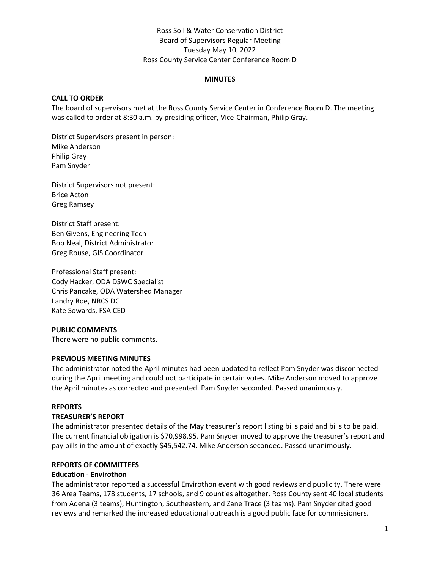# Ross Soil & Water Conservation District Board of Supervisors Regular Meeting Tuesday May 10, 2022 Ross County Service Center Conference Room D

#### **MINUTES**

#### **CALL TO ORDER**

The board of supervisors met at the Ross County Service Center in Conference Room D. The meeting was called to order at 8:30 a.m. by presiding officer, Vice-Chairman, Philip Gray.

District Supervisors present in person: Mike Anderson Philip Gray Pam Snyder

District Supervisors not present: Brice Acton Greg Ramsey

District Staff present: Ben Givens, Engineering Tech Bob Neal, District Administrator Greg Rouse, GIS Coordinator

Professional Staff present: Cody Hacker, ODA DSWC Specialist Chris Pancake, ODA Watershed Manager Landry Roe, NRCS DC Kate Sowards, FSA CED

#### **PUBLIC COMMENTS**

There were no public comments.

#### **PREVIOUS MEETING MINUTES**

The administrator noted the April minutes had been updated to reflect Pam Snyder was disconnected during the April meeting and could not participate in certain votes. Mike Anderson moved to approve the April minutes as corrected and presented. Pam Snyder seconded. Passed unanimously.

#### **REPORTS**

#### **TREASURER'S REPORT**

The administrator presented details of the May treasurer's report listing bills paid and bills to be paid. The current financial obligation is \$70,998.95. Pam Snyder moved to approve the treasurer's report and pay bills in the amount of exactly \$45,542.74. Mike Anderson seconded. Passed unanimously.

#### **REPORTS OF COMMITTEES**

#### **Education - Envirothon**

The administrator reported a successful Envirothon event with good reviews and publicity. There were 36 Area Teams, 178 students, 17 schools, and 9 counties altogether. Ross County sent 40 local students from Adena (3 teams), Huntington, Southeastern, and Zane Trace (3 teams). Pam Snyder cited good reviews and remarked the increased educational outreach is a good public face for commissioners.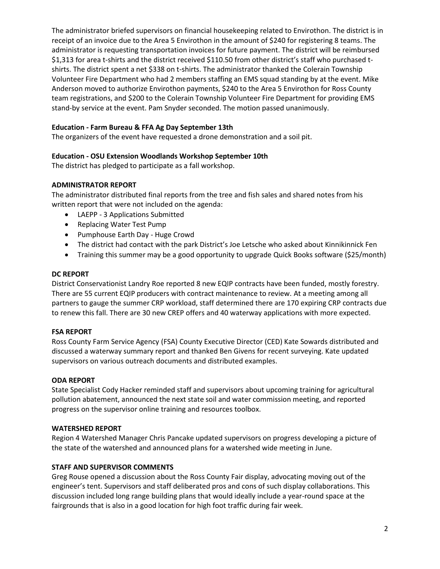The administrator briefed supervisors on financial housekeeping related to Envirothon. The district is in receipt of an invoice due to the Area 5 Envirothon in the amount of \$240 for registering 8 teams. The administrator is requesting transportation invoices for future payment. The district will be reimbursed \$1,313 for area t-shirts and the district received \$110.50 from other district's staff who purchased tshirts. The district spent a net \$338 on t-shirts. The administrator thanked the Colerain Township Volunteer Fire Department who had 2 members staffing an EMS squad standing by at the event. Mike Anderson moved to authorize Envirothon payments, \$240 to the Area 5 Envirothon for Ross County team registrations, and \$200 to the Colerain Township Volunteer Fire Department for providing EMS stand-by service at the event. Pam Snyder seconded. The motion passed unanimously.

# **Education - Farm Bureau & FFA Ag Day September 13th**

The organizers of the event have requested a drone demonstration and a soil pit.

# **Education - OSU Extension Woodlands Workshop September 10th**

The district has pledged to participate as a fall workshop.

# **ADMINISTRATOR REPORT**

The administrator distributed final reports from the tree and fish sales and shared notes from his written report that were not included on the agenda:

- LAEPP 3 Applications Submitted
- Replacing Water Test Pump
- Pumphouse Earth Day Huge Crowd
- The district had contact with the park District's Joe Letsche who asked about Kinnikinnick Fen
- Training this summer may be a good opportunity to upgrade Quick Books software (\$25/month)

#### **DC REPORT**

District Conservationist Landry Roe reported 8 new EQIP contracts have been funded, mostly forestry. There are 55 current EQIP producers with contract maintenance to review. At a meeting among all partners to gauge the summer CRP workload, staff determined there are 170 expiring CRP contracts due to renew this fall. There are 30 new CREP offers and 40 waterway applications with more expected.

# **FSA REPORT**

Ross County Farm Service Agency (FSA) County Executive Director (CED) Kate Sowards distributed and discussed a waterway summary report and thanked Ben Givens for recent surveying. Kate updated supervisors on various outreach documents and distributed examples.

# **ODA REPORT**

State Specialist Cody Hacker reminded staff and supervisors about upcoming training for agricultural pollution abatement, announced the next state soil and water commission meeting, and reported progress on the supervisor online training and resources toolbox.

# **WATERSHED REPORT**

Region 4 Watershed Manager Chris Pancake updated supervisors on progress developing a picture of the state of the watershed and announced plans for a watershed wide meeting in June.

# **STAFF AND SUPERVISOR COMMENTS**

Greg Rouse opened a discussion about the Ross County Fair display, advocating moving out of the engineer's tent. Supervisors and staff deliberated pros and cons of such display collaborations. This discussion included long range building plans that would ideally include a year-round space at the fairgrounds that is also in a good location for high foot traffic during fair week.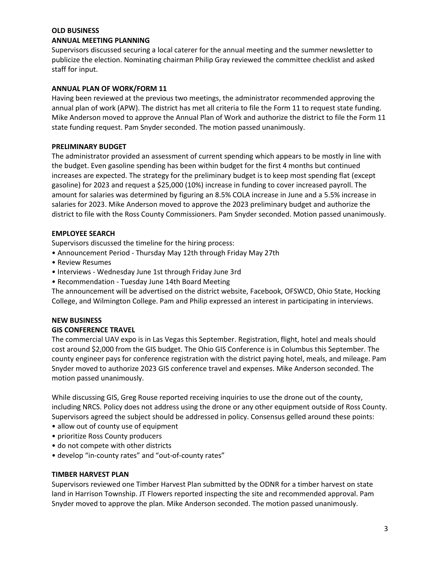# **OLD BUSINESS**

#### **ANNUAL MEETING PLANNING**

Supervisors discussed securing a local caterer for the annual meeting and the summer newsletter to publicize the election. Nominating chairman Philip Gray reviewed the committee checklist and asked staff for input.

# **ANNUAL PLAN OF WORK/FORM 11**

Having been reviewed at the previous two meetings, the administrator recommended approving the annual plan of work (APW). The district has met all criteria to file the Form 11 to request state funding. Mike Anderson moved to approve the Annual Plan of Work and authorize the district to file the Form 11 state funding request. Pam Snyder seconded. The motion passed unanimously.

# **PRELIMINARY BUDGET**

The administrator provided an assessment of current spending which appears to be mostly in line with the budget. Even gasoline spending has been within budget for the first 4 months but continued increases are expected. The strategy for the preliminary budget is to keep most spending flat (except gasoline) for 2023 and request a \$25,000 (10%) increase in funding to cover increased payroll. The amount for salaries was determined by figuring an 8.5% COLA increase in June and a 5.5% increase in salaries for 2023. Mike Anderson moved to approve the 2023 preliminary budget and authorize the district to file with the Ross County Commissioners. Pam Snyder seconded. Motion passed unanimously.

# **EMPLOYEE SEARCH**

Supervisors discussed the timeline for the hiring process:

- Announcement Period Thursday May 12th through Friday May 27th
- Review Resumes
- Interviews Wednesday June 1st through Friday June 3rd
- Recommendation Tuesday June 14th Board Meeting

The announcement will be advertised on the district website, Facebook, OFSWCD, Ohio State, Hocking College, and Wilmington College. Pam and Philip expressed an interest in participating in interviews.

# **NEW BUSINESS**

# **GIS CONFERENCE TRAVEL**

The commercial UAV expo is in Las Vegas this September. Registration, flight, hotel and meals should cost around \$2,000 from the GIS budget. The Ohio GIS Conference is in Columbus this September. The county engineer pays for conference registration with the district paying hotel, meals, and mileage. Pam Snyder moved to authorize 2023 GIS conference travel and expenses. Mike Anderson seconded. The motion passed unanimously.

While discussing GIS, Greg Rouse reported receiving inquiries to use the drone out of the county, including NRCS. Policy does not address using the drone or any other equipment outside of Ross County. Supervisors agreed the subject should be addressed in policy. Consensus gelled around these points:

- allow out of county use of equipment
- prioritize Ross County producers
- do not compete with other districts
- develop "in-county rates" and "out-of-county rates"

# **TIMBER HARVEST PLAN**

Supervisors reviewed one Timber Harvest Plan submitted by the ODNR for a timber harvest on state land in Harrison Township. JT Flowers reported inspecting the site and recommended approval. Pam Snyder moved to approve the plan. Mike Anderson seconded. The motion passed unanimously.